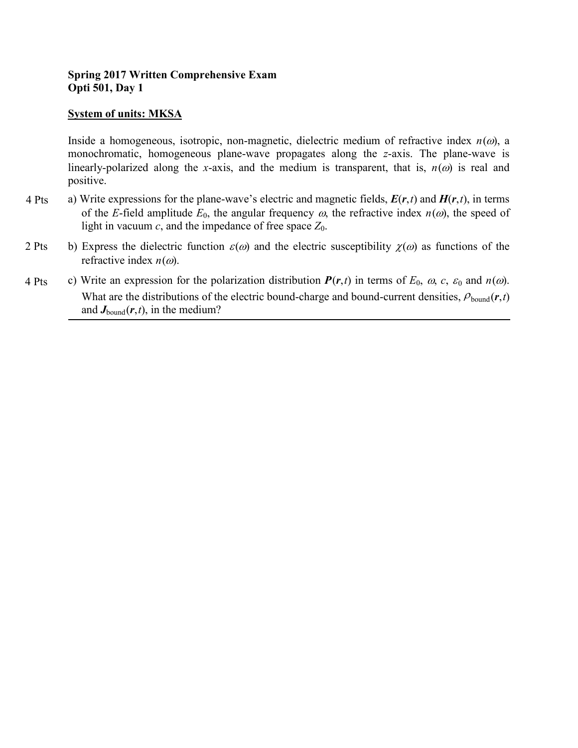# **Spring 2017 Written Comprehensive Exam Opti 501, Day 1**

## **System of units: MKSA**

Inside a homogeneous, isotropic, non-magnetic, dielectric medium of refractive index *n*(ω), a monochromatic, homogeneous plane-wave propagates along the *z*-axis. The plane-wave is linearly-polarized along the *x*-axis, and the medium is transparent, that is,  $n(\omega)$  is real and positive.

- a) Write expressions for the plane-wave's electric and magnetic fields,  $E(r,t)$  and  $H(r,t)$ , in terms of the *E*-field amplitude  $E_0$ , the angular frequency  $\omega$ , the refractive index  $n(\omega)$ , the speed of light in vacuum  $c$ , and the impedance of free space  $Z_0$ . 4 Pts
- b) Express the dielectric function  $\varepsilon(\omega)$  and the electric susceptibility  $\chi(\omega)$  as functions of the refractive index  $n(\omega)$ . 2 Pts
- c) Write an expression for the polarization distribution  $P(r,t)$  in terms of  $E_0$ ,  $\omega$ ,  $c$ ,  $\varepsilon_0$  and  $n(\omega)$ . What are the distributions of the electric bound-charge and bound-current densities,  $\rho_{\text{bound}}(r,t)$ and  $J_{\text{bound}}(r,t)$ , in the medium? 4 Pts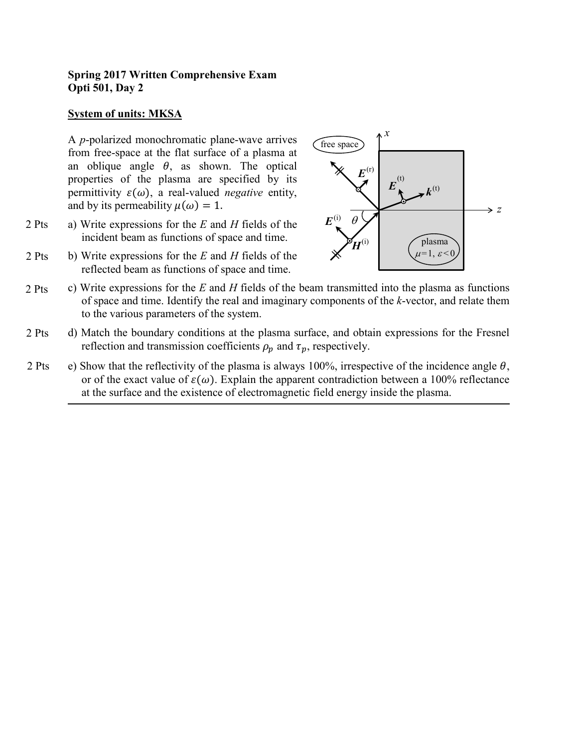## **Spring 2017 Written Comprehensive Exam Opti 501, Day 2**

## **System of units: MKSA**

A *p*-polarized monochromatic plane-wave arrives from free-space at the flat surface of a plasma at an oblique angle  $\theta$ , as shown. The optical properties of the plasma are specified by its permittivity  $\varepsilon(\omega)$ , a real-valued *negative* entity, and by its permeability  $\mu(\omega) = 1$ .

- a) Write expressions for the *E* and *H* fields of the incident beam as functions of space and time. 2 Pts
- b) Write expressions for the *E* and *H* fields of the reflected beam as functions of space and time. 2 Pts



- c) Write expressions for the *E* and *H* fields of the beam transmitted into the plasma as functions of space and time. Identify the real and imaginary components of the *k*-vector, and relate them to the various parameters of the system. 2 Pts
- d) Match the boundary conditions at the plasma surface, and obtain expressions for the Fresnel reflection and transmission coefficients  $\rho_p$  and  $\tau_p$ , respectively. 2 Pts
- e) Show that the reflectivity of the plasma is always 100%, irrespective of the incidence angle  $\theta$ , or of the exact value of  $\varepsilon(\omega)$ . Explain the apparent contradiction between a 100% reflectance at the surface and the existence of electromagnetic field energy inside the plasma. 2 Pts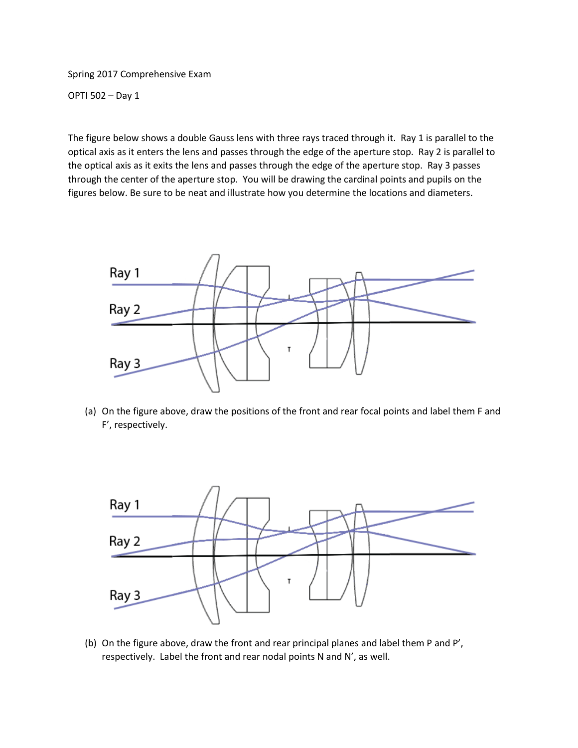Spring 2017 Comprehensive Exam

OPTI 502 – Day 1

The figure below shows a double Gauss lens with three rays traced through it. Ray 1 is parallel to the optical axis as it enters the lens and passes through the edge of the aperture stop. Ray 2 is parallel to the optical axis as it exits the lens and passes through the edge of the aperture stop. Ray 3 passes through the center of the aperture stop. You will be drawing the cardinal points and pupils on the figures below. Be sure to be neat and illustrate how you determine the locations and diameters.



(a) On the figure above, draw the positions of the front and rear focal points and label them F and F', respectively.



(b) On the figure above, draw the front and rear principal planes and label them P and P', respectively. Label the front and rear nodal points N and N', as well.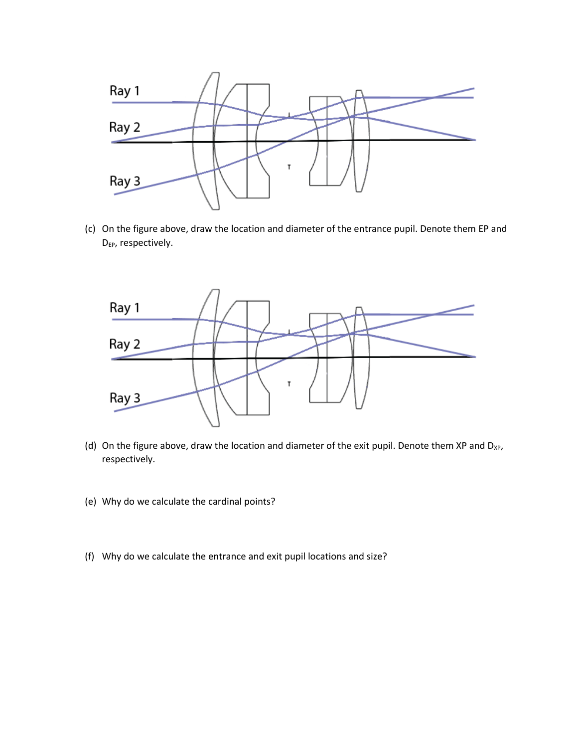

(c) On the figure above, draw the location and diameter of the entrance pupil. Denote them EP and D<sub>EP</sub>, respectively.



- (d) On the figure above, draw the location and diameter of the exit pupil. Denote them XP and  $D_{XP}$ , respectively.
- (e) Why do we calculate the cardinal points?
- (f) Why do we calculate the entrance and exit pupil locations and size?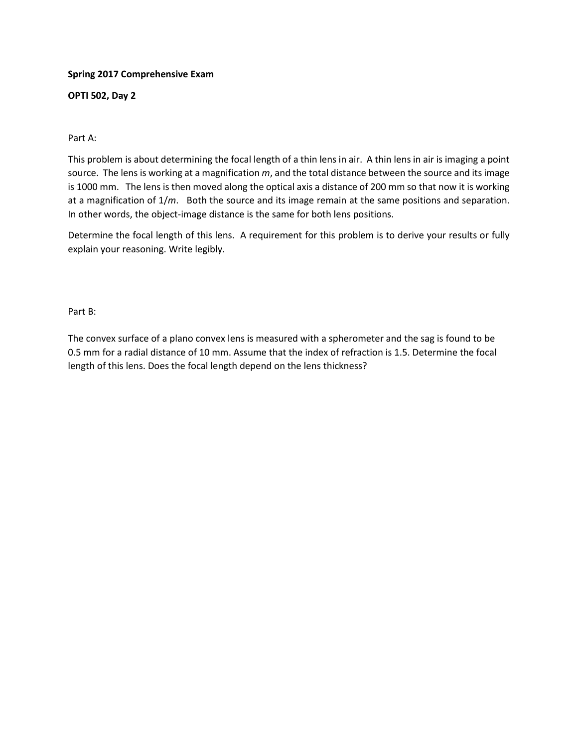### **Spring 2017 Comprehensive Exam**

### **OPTI 502, Day 2**

### Part A:

This problem is about determining the focal length of a thin lens in air. A thin lens in air is imaging a point source. The lens is working at a magnification *m*, and the total distance between the source and its image is 1000 mm. The lens is then moved along the optical axis a distance of 200 mm so that now it is working at a magnification of 1/*m*. Both the source and its image remain at the same positions and separation. In other words, the object-image distance is the same for both lens positions.

Determine the focal length of this lens. A requirement for this problem is to derive your results or fully explain your reasoning. Write legibly.

Part B:

The convex surface of a plano convex lens is measured with a spherometer and the sag is found to be 0.5 mm for a radial distance of 10 mm. Assume that the index of refraction is 1.5. Determine the focal length of this lens. Does the focal length depend on the lens thickness?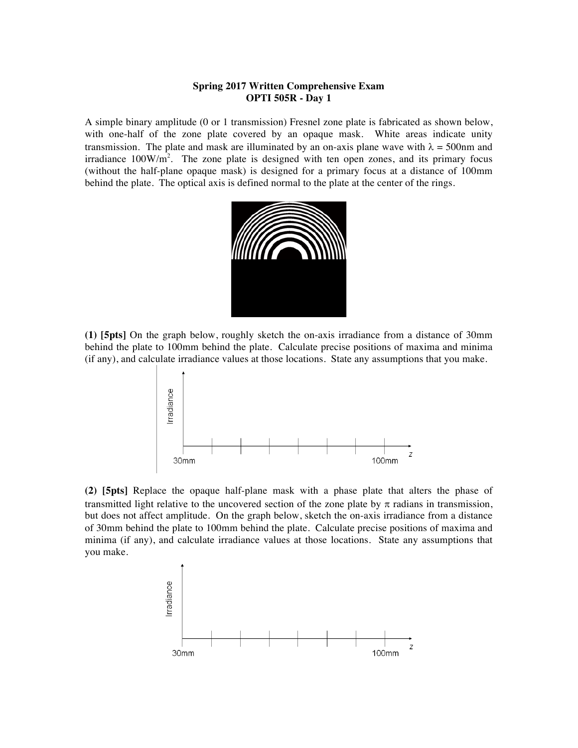### **Spring 2017 Written Comprehensive Exam OPTI 505R - Day 1**

A simple binary amplitude (0 or 1 transmission) Fresnel zone plate is fabricated as shown below, with one-half of the zone plate covered by an opaque mask. White areas indicate unity transmission. The plate and mask are illuminated by an on-axis plane wave with  $\lambda = 500$ nm and irradiance  $100W/m^2$ . The zone plate is designed with ten open zones, and its primary focus (without the half-plane opaque mask) is designed for a primary focus at a distance of 100mm behind the plate. The optical axis is defined normal to the plate at the center of the rings.



**(1) [5pts]** On the graph below, roughly sketch the on-axis irradiance from a distance of 30mm behind the plate to 100mm behind the plate. Calculate precise positions of maxima and minima (if any), and calculate irradiance values at those locations. State any assumptions that you make.



**(2) [5pts]** Replace the opaque half-plane mask with a phase plate that alters the phase of transmitted light relative to the uncovered section of the zone plate by  $\pi$  radians in transmission, but does not affect amplitude. On the graph below, sketch the on-axis irradiance from a distance of 30mm behind the plate to 100mm behind the plate. Calculate precise positions of maxima and minima (if any), and calculate irradiance values at those locations. State any assumptions that you make.

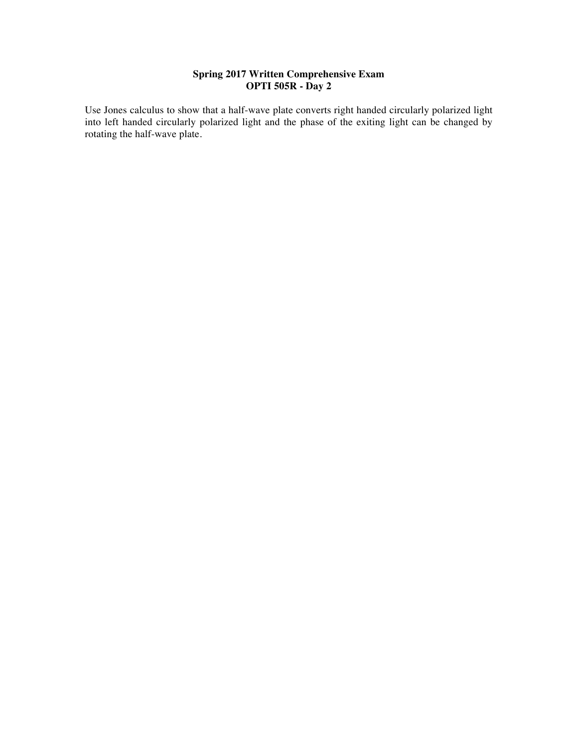### **Spring 2017 Written Comprehensive Exam OPTI 505R - Day 2**

Use Jones calculus to show that a half-wave plate converts right handed circularly polarized light into left handed circularly polarized light and the phase of the exiting light can be changed by rotating the half-wave plate.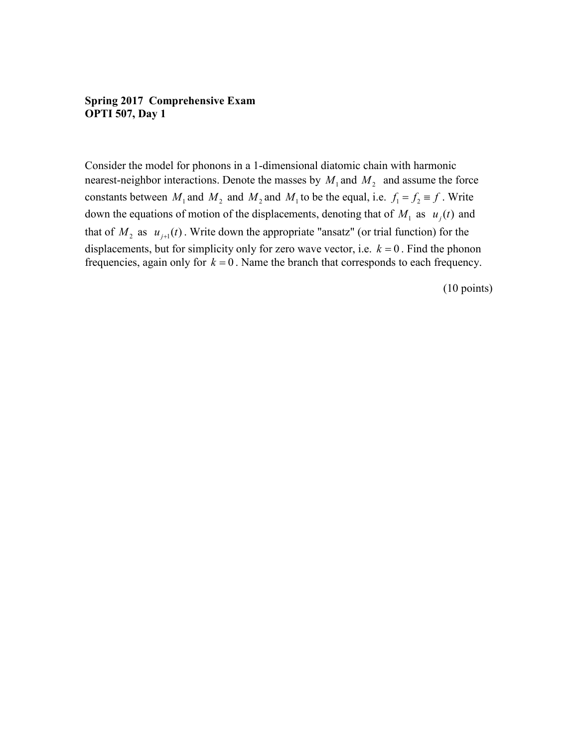## **Spring 2017 Comprehensive Exam OPTI 507, Day 1**

Consider the model for phonons in a 1-dimensional diatomic chain with harmonic nearest-neighbor interactions. Denote the masses by  $M_1$  and  $M_2$  and assume the force constants between  $M_1$  and  $M_2$  and  $M_2$  and  $M_1$  to be the equal, i.e.  $f_1 = f_2 \equiv f$ . Write down the equations of motion of the displacements, denoting that of  $M_1$  as  $u_i(t)$  and that of  $M_2$  as  $u_{j+1}(t)$ . Write down the appropriate "ansatz" (or trial function) for the displacements, but for simplicity only for zero wave vector, i.e.  $k = 0$ . Find the phonon frequencies, again only for  $k = 0$ . Name the branch that corresponds to each frequency.

(10 points)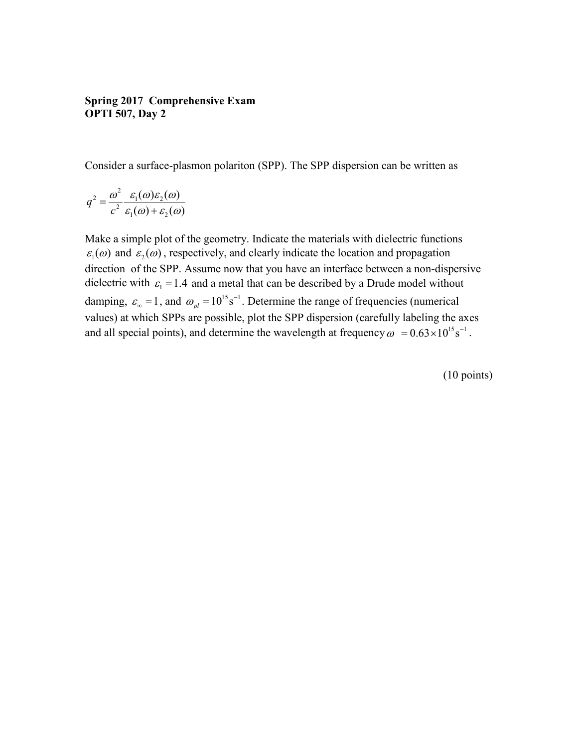## **Spring 2017 Comprehensive Exam OPTI 507, Day 2**

Consider a surface-plasmon polariton (SPP). The SPP dispersion can be written as

$$
q^2 = \frac{\omega^2}{c^2} \frac{\varepsilon_1(\omega)\varepsilon_2(\omega)}{\varepsilon_1(\omega) + \varepsilon_2(\omega)}
$$

Make a simple plot of the geometry. Indicate the materials with dielectric functions  $\varepsilon_1(\omega)$  and  $\varepsilon_2(\omega)$ , respectively, and clearly indicate the location and propagation direction of the SPP. Assume now that you have an interface between a non-dispersive dielectric with  $\varepsilon_1 = 1.4$  and a metal that can be described by a Drude model without damping,  $\varepsilon_{\infty} = 1$ , and  $\omega_{pl} = 10^{15} \text{ s}^{-1}$ . Determine the range of frequencies (numerical values) at which SPPs are possible, plot the SPP dispersion (carefully labeling the axes and all special points), and determine the wavelength at frequency  $\omega = 0.63 \times 10^{15} \text{s}^{-1}$ .

(10 points)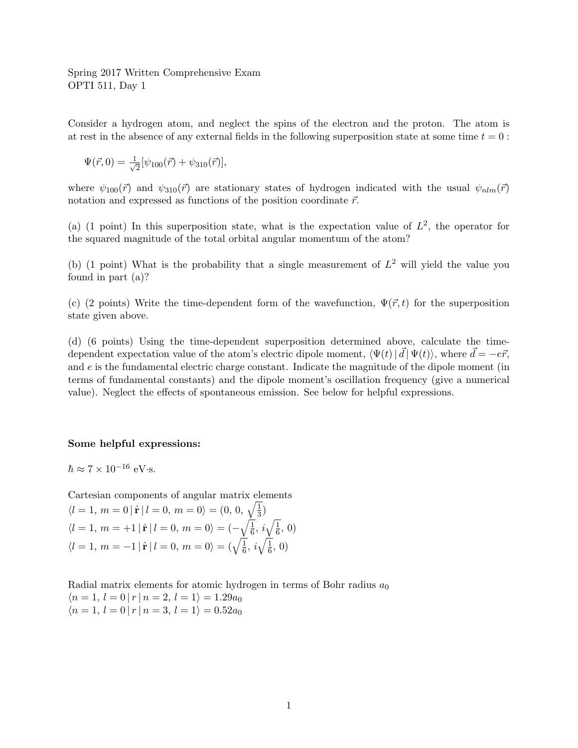Spring 2017 Written Comprehensive Exam OPTI 511, Day 1

Consider a hydrogen atom, and neglect the spins of the electron and the proton. The atom is at rest in the absence of any external fields in the following superposition state at some time  $t = 0$ :

$$
\Psi(\vec{r},0) = \frac{1}{\sqrt{2}} [\psi_{100}(\vec{r}) + \psi_{310}(\vec{r})],
$$

where  $\psi_{100}(\vec{r})$  and  $\psi_{310}(\vec{r})$  are stationary states of hydrogen indicated with the usual  $\psi_{nlm}(\vec{r})$ notation and expressed as functions of the position coordinate  $\vec{r}$ .

(a) (1 point) In this superposition state, what is the expectation value of  $L^2$ , the operator for the squared magnitude of the total orbital angular momentum of the atom?

(b) (1 point) What is the probability that a single measurement of  $L^2$  will yield the value you found in part (a)?

(c) (2 points) Write the time-dependent form of the wavefunction,  $\Psi(\vec{r},t)$  for the superposition state given above.

(d) (6 points) Using the time-dependent superposition determined above, calculate the timedependent expectation value of the atom's electric dipole moment,  $\langle \Psi(t) | \vec{d} | \Psi(t) \rangle$ , where  $\vec{d} = -e\vec{r}$ , and e is the fundamental electric charge constant. Indicate the magnitude of the dipole moment (in terms of fundamental constants) and the dipole moment's oscillation frequency (give a numerical value). Neglect the effects of spontaneous emission. See below for helpful expressions.

#### Some helpful expressions:

 $\hbar \approx 7 \times 10^{-16}$  eV·s.

Cartesian components of angular matrix elements

$$
\langle l = 1, m = 0 | \hat{\mathbf{r}} | l = 0, m = 0 \rangle = (0, 0, \sqrt{\frac{1}{3}})
$$
  

$$
\langle l = 1, m = +1 | \hat{\mathbf{r}} | l = 0, m = 0 \rangle = (-\sqrt{\frac{1}{6}}, i\sqrt{\frac{1}{6}}, 0)
$$
  

$$
\langle l = 1, m = -1 | \hat{\mathbf{r}} | l = 0, m = 0 \rangle = (\sqrt{\frac{1}{6}}, i\sqrt{\frac{1}{6}}, 0)
$$

Radial matrix elements for atomic hydrogen in terms of Bohr radius  $a_0$  $\langle n=1, l=0 | r | n=2, l=1 \rangle = 1.29a_0$  $\langle n=1, l=0 | r | n=3, l=1 \rangle = 0.52a_0$